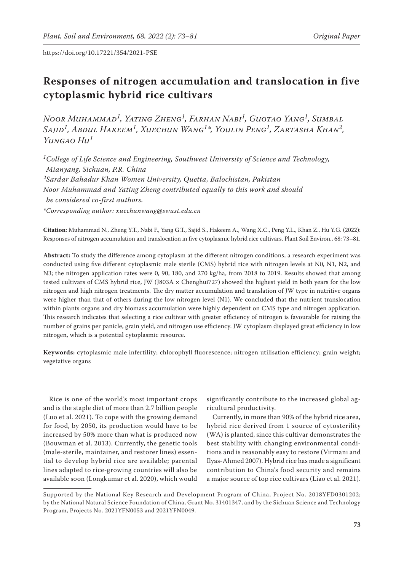# **Responses of nitrogen accumulation and translocation in five cytoplasmic hybrid rice cultivars**

*Noor Muhammad1, Yating Zheng1, Farhan Nabi1, Guotao Yang1, Sumbal Sajid1, Abdul Hakeem1, Xuechun Wang1\*, Youlin Peng1, Zartasha Khan2, Yungao Hu<sup>1</sup>*

*1College of Life Science and Engineering, Southwest University of Science and Technology, Mianyang, Sichuan, P.R. China 2Sardar Bahadur Khan Women University, Quetta, Balochistan, Pakistan Noor Muhammad and Yating Zheng contributed equally to this work and should be considered co-first authors. \*Corresponding author: xuechunwang@swust.edu.cn*

**Citation:** Muhammad N., Zheng Y.T., Nabi F., Yang G.T., Sajid S., Hakeem A., Wang X.C., Peng Y.L., Khan Z., Hu Y.G. (2022): Responses of nitrogen accumulation and translocation in five cytoplasmic hybrid rice cultivars. Plant Soil Environ., 68: 73–81.

**Abstract:** To study the difference among cytoplasm at the different nitrogen conditions, a research experiment was conducted using five different cytoplasmic male sterile (CMS) hybrid rice with nitrogen levels at N0, N1, N2, and N3; the nitrogen application rates were 0, 90, 180, and 270 kg/ha, from 2018 to 2019. Results showed that among tested cultivars of CMS hybrid rice, JW (J803A × Chenghui727) showed the highest yield in both years for the low nitrogen and high nitrogen treatments. The dry matter accumulation and translation of JW type in nutritive organs were higher than that of others during the low nitrogen level (N1). We concluded that the nutrient translocation within plants organs and dry biomass accumulation were highly dependent on CMS type and nitrogen application. This research indicates that selecting a rice cultivar with greater efficiency of nitrogen is favourable for raising the number of grains per panicle, grain yield, and nitrogen use efficiency. JW cytoplasm displayed great efficiency in low nitrogen, which is a potential cytoplasmic resource.

**Keywords:** cytoplasmic male infertility; chlorophyll fluorescence; nitrogen utilisation efficiency; grain weight; vegetative organs

Rice is one of the world's most important crops and is the staple diet of more than 2.7 billion people (Luo et al. 2021). To cope with the growing demand for food, by 2050, its production would have to be increased by 50% more than what is produced now (Bouwman et al. 2013). Currently, the genetic tools (male-sterile, maintainer, and restorer lines) essential to develop hybrid rice are available; parental lines adapted to rice-growing countries will also be available soon (Longkumar et al. 2020), which would

significantly contribute to the increased global agricultural productivity.

Currently, in more than 90% of the hybrid rice area, hybrid rice derived from 1 source of cytosterility (WA) is planted, since this cultivar demonstrates the best stability with changing environmental conditions and is reasonably easy to restore (Virmani and Ilyas-Ahmed 2007). Hybrid rice has made a significant contribution to China's food security and remains a major source of top rice cultivars (Liao et al. 2021).

Supported by the National Key Research and Development Program of China, Project No. 2018YFD0301202; by the National Natural Science Foundation of China, Grant No. 31401347, and by the Sichuan Science and Technology Program, Projects No. 2021YFN0053 and 2021YFN0049.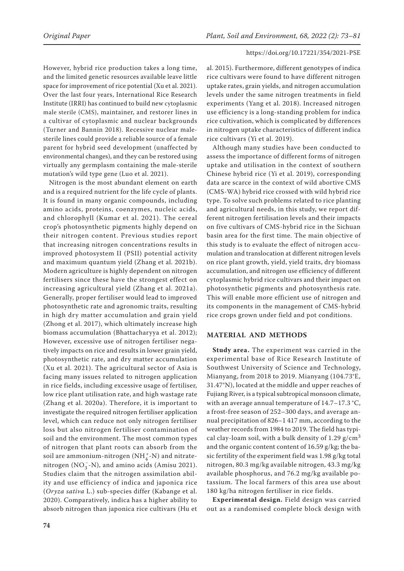However, hybrid rice production takes a long time, and the limited genetic resources available leave little space for improvement of rice potential (Xu et al. 2021). Over the last four years, International Rice Research Institute (IRRI) has continued to build new cytoplasmic male sterile (CMS), maintainer, and restorer lines in a cultivar of cytoplasmic and nuclear backgrounds (Turner and Bannin 2018). Recessive nuclear malesterile lines could provide a reliable source of a female parent for hybrid seed development (unaffected by environmental changes), and they can be restored using virtually any germplasm containing the male-sterile mutation's wild type gene (Luo et al. 2021).

Nitrogen is the most abundant element on earth and is a required nutrient for the life cycle of plants. It is found in many organic compounds, including amino acids, proteins, coenzymes, nucleic acids, and chlorophyll (Kumar et al. 2021). The cereal crop's photosynthetic pigments highly depend on their nitrogen content. Previous studies report that increasing nitrogen concentrations results in improved photosystem II (PSII) potential activity and maximum quantum yield (Zhang et al. 2021b). Modern agriculture is highly dependent on nitrogen fertilisers since these have the strongest effect on increasing agricultural yield (Zhang et al. 2021a). Generally, proper fertiliser would lead to improved photosynthetic rate and agronomic traits, resulting in high dry matter accumulation and grain yield (Zhong et al. 2017), which ultimately increase high biomass accumulation (Bhattacharyya et al. 2012); However, excessive use of nitrogen fertiliser negatively impacts on rice and results in lower grain yield, photosynthetic rate, and dry matter accumulation (Xu et al. 2021). The agricultural sector of Asia is facing many issues related to nitrogen application in rice fields, including excessive usage of fertiliser, low rice plant utilisation rate, and high wastage rate (Zhang et al. 2020a). Therefore, it is important to investigate the required nitrogen fertiliser application level, which can reduce not only nitrogen fertiliser loss but also nitrogen fertiliser contamination of soil and the environment. The most common types of nitrogen that plant roots can absorb from the soil are ammonium-nitrogen  $(NH_4^+N)$  and nitratenitrogen (NO<sub>3</sub>-N), and amino acids (Amisu 2021). Studies claim that the nitrogen assimilation ability and use efficiency of indica and japonica rice (*Oryza sativa* L.) sub-species differ (Kabange et al. 2020). Comparatively, indica has a higher ability to absorb nitrogen than japonica rice cultivars (Hu et

al. 2015). Furthermore, different genotypes of indica rice cultivars were found to have different nitrogen uptake rates, grain yields, and nitrogen accumulation levels under the same nitrogen treatments in field experiments (Yang et al. 2018). Increased nitrogen use efficiency is a long-standing problem for indica rice cultivation, which is complicated by differences in nitrogen uptake characteristics of different indica rice cultivars (Yi et al. 2019).

Although many studies have been conducted to assess the importance of different forms of nitrogen uptake and utilisation in the context of southern Chinese hybrid rice (Yi et al. 2019), corresponding data are scarce in the context of wild abortive CMS (CMS-WA) hybrid rice crossed with wild hybrid rice type. To solve such problems related to rice planting and agricultural needs, in this study, we report different nitrogen fertilisation levels and their impacts on five cultivars of CMS-hybrid rice in the Sichuan basin area for the first time. The main objective of this study is to evaluate the effect of nitrogen accumulation and translocation at different nitrogen levels on rice plant growth, yield, yield traits, dry biomass accumulation, and nitrogen use efficiency of different cytoplasmic hybrid rice cultivars and their impact on photosynthetic pigments and photosynthesis rate. This will enable more efficient use of nitrogen and its components in the management of CMS-hybrid rice crops grown under field and pot conditions.

# **MATERIAL AND METHODS**

**Study area.** The experiment was carried in the experimental base of Rice Research Institute of Southwest University of Science and Technology, Mianyang, from 2018 to 2019. Mianyang (104.73°E, 31.47°N), located at the middle and upper reaches of Fujiang River, is a typical subtropical monsoon climate, with an average annual temperature of 14.7–17.3 °C, a frost-free season of 252–300 days, and average annual precipitation of 826–1 417 mm, according to the weather records from 1984 to 2019. The field has typical clay-loam soil, with a bulk density of 1.29  $g/cm<sup>3</sup>$ and the organic content content of 16.59 g/kg; the basic fertility of the experiment field was 1.98 g/kg total nitrogen, 80.3 mg/kg available nitrogen, 43.3 mg/kg available phosphorus, and 76.2 mg/kg available potassium. The local farmers of this area use about 180 kg/ha nitrogen fertiliser in rice fields.

**Experimental design.** Field design was carried out as a randomised complete block design with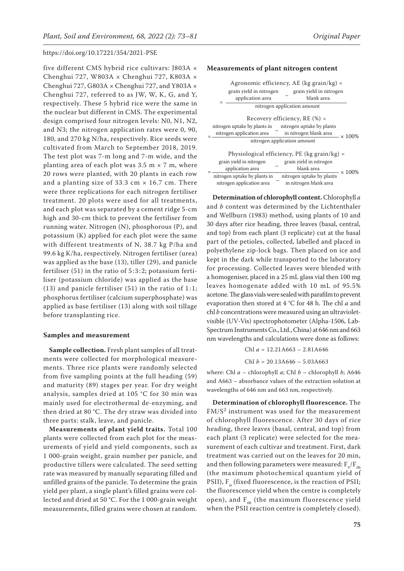five different CMS hybrid rice cultivars: J803A × Chenghui 727, W803A × Chenghui 727, K803A × Chenghui 727, G803A  $\times$  Chenghui 727, and Y803A  $\times$ Chenghui 727, referred to as JW, W, K, G, and Y, respectively. These 5 hybrid rice were the same in the nuclear but different in CMS. The experimental design comprised four nitrogen levels: N0, N1, N2, and N3; the nitrogen application rates were 0, 90, 180, and 270 kg N/ha, respectively. Rice seeds were cultivated from March to September 2018, 2019. The test plot was 7-m long and 7-m wide, and the planting area of each plot was 3.5 m  $\times$  7 m, where 20 rows were planted, with 20 plants in each row and a planting size of 33.3 cm  $\times$  16.7 cm. There were three replications for each nitrogen fertiliser treatment. 20 plots were used for all treatments, and each plot was separated by a cement ridge 5-cm high and 30-cm thick to prevent the fertiliser from running water. Nitrogen (N), phosphorous (P), and potassium (K) applied for each plot were the same with different treatments of N, 38.7 kg P/ha and 99.6 kg K/ha, respectively. Nitrogen fertiliser (urea) was applied as the base (13), tiller (29), and panicle fertiliser (51) in the ratio of 5:3:2; potassium fertiliser (potassium chloride) was applied as the base (13) and panicle fertiliser  $(51)$  in the ratio of 1:1; phosphorus fertiliser (calcium superphosphate) was applied as base fertiliser (13) along with soil tillage before transplanting rice.

#### **Samples and measurement**

**Sample collection.** Fresh plant samples of all treatments were collected for morphological measurements. Three rice plants were randomly selected from five sampling points at the full heading (59) and maturity (89) stages per year. For dry weight analysis, samples dried at 105 °C for 30 min was mainly used for electrothermal de-enzyming, and then dried at 80 °C. The dry straw was divided into three parts: stalk, leave, and panicle.

**Measurements of plant yield traits.** Total 100 plants were collected from each plot for the measurements of yield and yield components, such as 1 000-grain weight, grain number per panicle, and productive tillers were calculated. The seed setting rate was measured by manually separating filled and unfilled grains of the panicle. To determine the grain yield per plant, a single plant's filled grains were collected and dried at 50 °C. For the 1 000-grain weight measurements, filled grains were chosen at random.

## **Measurements of plant nitrogen content**

|                                                        | Agronomic efficiency, AE (kg grain/kg) =<br>grain yield in nitrogen<br>grain yield in nitrogen<br>blank area<br>application area |               |  |  |  |  |  |  |
|--------------------------------------------------------|----------------------------------------------------------------------------------------------------------------------------------|---------------|--|--|--|--|--|--|
| nitrogen application amount                            |                                                                                                                                  |               |  |  |  |  |  |  |
| Recovery efficiency, $RE(%) =$                         |                                                                                                                                  |               |  |  |  |  |  |  |
| nitrogen uptake by plants in nitrogen uptake by plants |                                                                                                                                  |               |  |  |  |  |  |  |
|                                                        | nitrogen application area <sup>-</sup> in nitrogen blank area                                                                    | $\times$ 100% |  |  |  |  |  |  |
| nitrogen application amount                            |                                                                                                                                  |               |  |  |  |  |  |  |
| Physiological efficiency, PE (kg grain/kg) =           |                                                                                                                                  |               |  |  |  |  |  |  |
|                                                        | grain yield in nitrogen<br>grain yield in nitrogen                                                                               |               |  |  |  |  |  |  |
|                                                        | blank area<br>application area                                                                                                   | $\times$ 100% |  |  |  |  |  |  |
|                                                        | nitrogen uptake by plants in<br>nitrogen uptake by plants                                                                        |               |  |  |  |  |  |  |

nitrogen application area <sup>-</sup> in nitrogen blank area

**Determination of chlorophyll content.** Chlorophyll *a* and *b* content was determined by the Lichtenthaler and Wellburn (1983) method, using plants of 10 and 30 days after rice heading, three leaves (basal, central, and top) from each plant (3 replicate) cut at the basal part of the petioles, collected, labelled and placed in polyethylene zip-lock bags. Then placed on ice and kept in the dark while transported to the laboratory for processing. Collected leaves were blended with a homogeniser, placed in a 25 mL glass vial then 100 mg leaves homogenate added with 10 mL of 95.5% acetone. The glass vials were sealed with parafilm to prevent evaporation then stored at 4 °C for 48 h. The chl *a* and chl *b* concentrations were measured using an ultravioletvisible (UV-Vis) spectrophotometer (Alpha-1506, Lab-Spectrum Instruments Co., Ltd., China) at 646 nm and 663 nm wavelengths and calculations were done as follows:

> Chl *a* = 12.21A663 – 2.81A646 Chl *b* = 20.13A646 – 5.03A663

where: Chl *a* – chlorophyll *a*; Chl *b* – chlorophyll *b*; A646 and A663 – absorbance values of the extraction solution at wavelengths of 646 nm and 663 nm, respectively.

**Determination of chlorophyll fluorescence.** The  $FM/S<sup>2</sup>$  instrument was used for the measurement of chlorophyll fluorescence. After 30 days of rice heading, three leaves (basal, central, and top) from each plant (3 replicate) were selected for the measurement of each cultivar and treatment. First, dark treatment was carried out on the leaves for 20 min, and then following parameters were measured:  $F_v/F_m$ (the maximum photochemical quantum yield of PSII),  $F_a$  (fixed fluorescence, is the reaction of PSII; the fluorescence yield when the centre is completely open), and  $F_m$  (the maximum fluorescence yield when the PSII reaction centre is completely closed).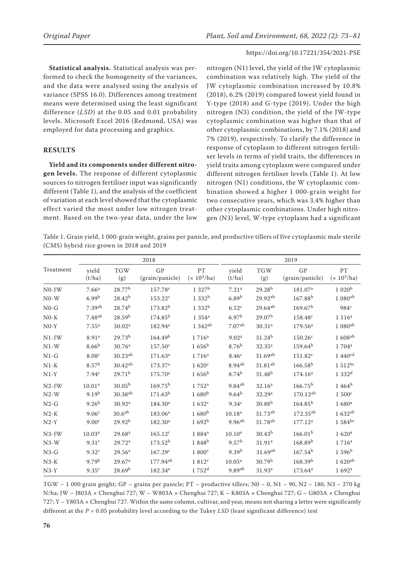**Statistical analysis.** Statistical analysis was performed to check the homogeneity of the variances, and the data were analysed using the analysis of variance (SPSS 16.0). Differences among treatment means were determined using the least significant difference (*LSD*) at the 0.05 and 0.01 probability levels. Microsoft Excel 2016 (Redmond, USA) was employed for data processing and graphics.

# **RESULTS**

**Yield and its components under different nitrogen levels.** The response of different cytoplasmic sources to nitrogen fertiliser input was significantly different (Table 1), and the analysis of the coefficient of variation at each level showed that the cytoplasmic effect varied the most under low nitrogen treatment. Based on the two-year data, under the low

nitrogen (N1) level, the yield of the JW cytoplasmic combination was relatively high. The yield of the JW cytoplasmic combination increased by 10.8% (2018), 6.2% (2019) compared lowest yield found in Y-type (2018) and G-type (2019). Under the high nitrogen (N3) condition, the yield of the JW-type cytoplasmic combination was higher than that of other cytoplasmic combinations, by 7.1% (2018) and 7% (2019), respectively. To clarify the difference in response of cytoplasm to different nitrogen fertiliser levels in terms of yield traits, the differences in yield traits among cytoplasm were compared under different nitrogen fertiliser levels (Table 1). At low nitrogen (N1) conditions, the W cytoplasmic combination showed a higher 1 000-grain weight for two consecutive years, which was 3.4% higher than other cytoplasmic combinations. Under high nitrogen (N3) level, W-type cytoplasm had a significant

Table 1. Grain yield, 1 000-grain weight, grains per panicle, and productive tillers of five cytoplasmic male sterile (CMS) hybrid rice grown in 2018 and 2019

|           | 2018               |                     |                       |                     | 2019                 |                       |                       |                            |
|-----------|--------------------|---------------------|-----------------------|---------------------|----------------------|-----------------------|-----------------------|----------------------------|
| Treatment | yield<br>(t/ha)    | <b>TGW</b><br>(g)   | GP<br>(grain/panicle) | PT<br>$(x 10^3/ha)$ | yield<br>(t/ha)      | <b>TGW</b><br>(g)     | GP<br>(grain/panicle) | <b>PT</b><br>$(x 10^3/ha)$ |
| $NO-JW$   | 7.66 <sup>a</sup>  | 28.77 <sup>b</sup>  | 157.78 <sup>c</sup>   | $1327^b$            | 7.21 <sup>a</sup>    | $29.28^{b}$           | 181.07 <sup>a</sup>   | 1020 <sup>b</sup>          |
| $N0-W$    | 6.99 <sup>b</sup>  | $28.42^{b}$         | $153.22^c$            | 1 332 <sup>b</sup>  | 6.89 <sup>b</sup>    | $29.92^{ab}$          | 167.88 <sup>b</sup>   | $1080$ <sup>ab</sup>       |
| $N0-G$    | 7.39 <sup>ab</sup> | $28.74^{b}$         | 173.82 <sup>b</sup>   | 1 332 <sup>b</sup>  | 6.52 <sup>c</sup>    | $29.64^{ab}$          | 169.67 <sup>b</sup>   | 984 <sup>c</sup>           |
| $N0-K$    | 7.48 <sup>ab</sup> | 28.59 <sup>b</sup>  | $174.85^{b}$          | $1354^a$            | 6.97 <sup>b</sup>    | 29.07 <sup>b</sup>    | 158.48 <sup>c</sup>   | 1116 <sup>a</sup>          |
| $N0-Y$    | $7.55^{\rm a}$     | 30.02 <sup>a</sup>  | 182.94 <sup>a</sup>   | 1 342 <sup>ab</sup> | 7.07 <sup>ab</sup>   | 30.31 <sup>a</sup>    | $179.56^{\rm a}$      | 1 080ab                    |
| $N1-JW$   | 8.91 <sup>a</sup>  | 29.73 <sup>b</sup>  | 164.49 <sup>b</sup>   | $1716^a$            | 9.02 <sup>a</sup>    | $31.24^{b}$           | $150.26^{\circ}$      | $1608$ <sup>ab</sup>       |
| $N1-W$    | 8.66 <sup>b</sup>  | 30.76 <sup>a</sup>  | $157.50^{\circ}$      | $1656^{\rm b}$      | 8.76 <sup>b</sup>    | $32.35^{\rm a}$       | $159.64^{b}$          | $1704^a$                   |
| $N1-G$    | 8.08 <sup>c</sup>  | $30.23^{ab}$        | 171.63 <sup>a</sup>   | $1716^a$            | 8.46 <sup>c</sup>    | $31.69$ <sup>ab</sup> | $151.82^c$            | 1.440 $^{cd}$              |
| $N1-K$    | 8.57 <sup>b</sup>  | $30.42^{ab}$        | 173.37 <sup>a</sup>   | 1.620c              | 8.94 <sup>ab</sup>   | 31.81 <sup>ab</sup>   | $166.58^{b}$          | $1.512$ bc                 |
| $N1-Y$    | 7.94 <sup>c</sup>  | 29.71 <sup>b</sup>  | 175.70 <sup>a</sup>   | $1656^{\rm b}$      | 8.74 <sup>b</sup>    | 31.48 <sup>b</sup>    | 174.16 <sup>a</sup>   | 1.332 <sup>d</sup>         |
| $N2$ -JW  | 10.01 <sup>a</sup> | $30.05^{b}$         | $169.75^{b}$          | $1752^a$            | $9.84^{ab}$          | 32.16 <sup>a</sup>    | $166.75^{b}$          | 1.464 <sup>b</sup>         |
| $N2-W$    | 9.19 <sup>b</sup>  | 30.38 <sup>ab</sup> | 171.63 <sup>b</sup>   | $1680^{b}$          | $9.64^{b}$           | 32.29 <sup>a</sup>    | $170.12^{ab}$         | 1.500 <sup>c</sup>         |
| $N2-G$    | 9.26 <sup>b</sup>  | 30.92 <sup>a</sup>  | 184.30 <sup>a</sup>   | 1632 <sup>c</sup>   | 9.34 <sup>c</sup>    | $30.88^{b}$           | $164.85^{b}$          | 1680 <sup>a</sup>          |
| $N2-K$    | 9.06 <sup>c</sup>  | 30.6 <sup>ab</sup>  | 183.06 <sup>a</sup>   | $1680^{b}$          | 10.18 <sup>a</sup>   | 31.73 <sup>ab</sup>   | $172.35^{ab}$         | 1 632ab                    |
| $N2-Y$    | 9.00 <sup>c</sup>  | 29.92 <sup>b</sup>  | $182.30^a$            | 1692 <sup>b</sup>   | $9.96^{ab}$          | 31.78 <sup>ab</sup>   | $177.12^a$            | 1 584bc                    |
| $N3$ -JW  | 10.03 <sup>a</sup> | 29.68 <sup>a</sup>  | $165.12^c$            | 1884 <sup>a</sup>   | 10.10 <sup>a</sup>   | $30.43^{b}$           | 166.01 <sup>b</sup>   | 1.620 <sup>a</sup>         |
| $N3-W$    | 9.31 <sup>c</sup>  | 29.72 <sup>a</sup>  | $173.52^{b}$          | 1848 <sup>b</sup>   | 9.57 <sup>b</sup>    | 31.91 <sup>a</sup>    | 168.89 <sup>b</sup>   | 1 716 <sup>a</sup>         |
| $N3-G$    | 9.32 <sup>c</sup>  | 29.56 <sup>a</sup>  | 167.29 <sup>c</sup>   | 1800 <sup>c</sup>   | 9.39 <sup>b</sup>    | $31.69$ <sup>ab</sup> | $167.54^{b}$          | $1596^{\rm b}$             |
| $N3-K$    | 9.79 <sup>b</sup>  | 29.67 <sup>a</sup>  | 177.94 <sup>ab</sup>  | 1812 <sup>c</sup>   | 10.05 <sup>a</sup>   | 30.79 <sup>b</sup>    | 168.39 <sup>b</sup>   | $1.620^{ab}$               |
| $N3-Y$    | 9.35 <sup>c</sup>  | 28.69 <sup>b</sup>  | $182.34^a$            | 1752 <sup>d</sup>   | $9.89$ <sup>ab</sup> | 31.93 <sup>a</sup>    | $173.64^{\rm a}$      | 1692 <sup>a</sup>          |

TGW – 1 000 grain geight; GP – grains per panicle; PT – productive tillers; N0 – 0, N1 – 90, N2 – 180, N3 – 270 kg N/ha; JW – J803A × Chenghui 727; W – W803A × Chenghui 727; K – K803A × Chenghui 727; G – G803A × Chenghui  $727$ ; Y – Y803A  $\times$  Chenghui 727. Within the same column, cultivar, and year, means not sharing a letter were significantly different at the *P* = 0.05 probability level according to the Tukey *LSD* (least significant difference) test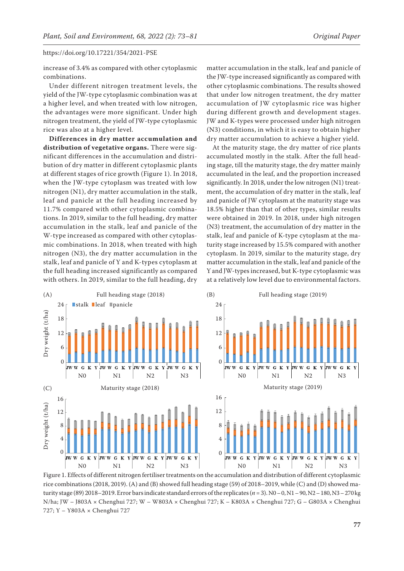increase of 3.4% as compared with other cytoplasmic combinations.

Under different nitrogen treatment levels, the yield of the JW-type cytoplasmic combination was at a higher level, and when treated with low nitrogen, the advantages were more significant. Under high nitrogen treatment, the yield of JW-type cytoplasmic rice was also at a higher level.

**Differences in dry matter accumulation and distribution of vegetative organs.** There were significant differences in the accumulation and distribution of dry matter in different cytoplasmic plants at different stages of rice growth (Figure 1). In 2018, when the JW-type cytoplasm was treated with low nitrogen (N1), dry matter accumulation in the stalk, leaf and panicle at the full heading increased by 11.7% compared with other cytoplasmic combinations. In 2019, similar to the full heading, dry matter accumulation in the stalk, leaf and panicle of the W-type increased as compared with other cytoplasmic combinations. In 2018, when treated with high nitrogen (N3), the dry matter accumulation in the stalk, leaf and panicle of Y and K-types cytoplasm at the full heading increased significantly as compared with others. In 2019, similar to the full heading, dry

matter accumulation in the stalk, leaf and panicle of the JW-type increased significantly as compared with other cytoplasmic combinations. The results showed that under low nitrogen treatment, the dry matter accumulation of JW cytoplasmic rice was higher during different growth and development stages. JW and K-types were processed under high nitrogen (N3) conditions, in which it is easy to obtain higher dry matter accumulation to achieve a higher yield.

At the maturity stage, the dry matter of rice plants accumulated mostly in the stalk. After the full heading stage, till the maturity stage, the dry matter mainly accumulated in the leaf, and the proportion increased significantly. In 2018, under the low nitrogen (N1) treatment, the accumulation of dry matter in the stalk, leaf and panicle of JW cytoplasm at the maturity stage was 18.5% higher than that of other types, similar results were obtained in 2019. In 2018, under high nitrogen (N3) treatment, the accumulation of dry matter in the stalk, leaf and panicle of K-type cytoplasm at the maturity stage increased by 15.5% compared with another cytoplasm. In 2019, similar to the maturity stage, dry matter accumulation in the stalk, leaf and panicle of the Y and JW-types increased, but K-type cytoplasmic was at a relatively low level due to environmental factors.



Figure 1. Effects of different nitrogen fertiliser treatments on the accumulation and distribution of different cytoplasmic rice combinations (2018, 2019). (A) and (B) showed full heading stage (59) of 2018–2019, while (C) and (D) showed maturity stage (89) 2018–2019. Error bars indicate standard errors of the replicates (*n* = 3). N0 – 0, N1 – 90, N2 – 180, N3 – 270 kg N/ha; JW – J803A × Chenghui 727; W – W803A × Chenghui 727; K – K803A × Chenghui 727; G – G803A × Chenghui 727; Y – Y803A × Chenghui 727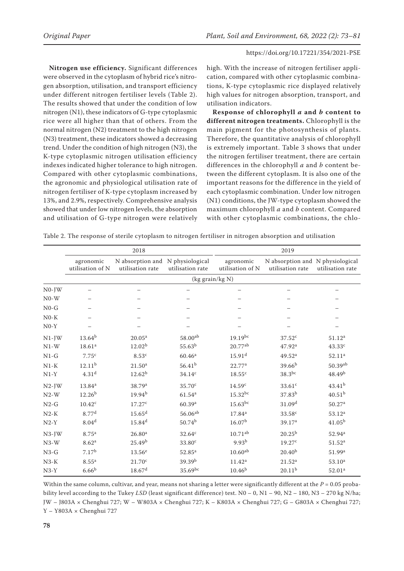**Nitrogen use efficiency.** Significant differences were observed in the cytoplasm of hybrid rice's nitrogen absorption, utilisation, and transport efficiency under different nitrogen fertiliser levels (Table 2). The results showed that under the condition of low nitrogen (N1), these indicators of G-type cytoplasmic rice were all higher than that of others. From the normal nitrogen (N2) treatment to the high nitrogen (N3) treatment, these indicators showed a decreasing trend. Under the condition of high nitrogen (N3), the K-type cytoplasmic nitrogen utilisation efficiency indexes indicated higher tolerance to high nitrogen. Compared with other cytoplasmic combinations, the agronomic and physiological utilisation rate of nitrogen fertiliser of K-type cytoplasm increased by 13%, and 2.9%, respectively. Comprehensive analysis showed that under low nitrogen levels, the absorption and utilisation of G-type nitrogen were relatively

high. With the increase of nitrogen fertiliser application, compared with other cytoplasmic combinations, K-type cytoplasmic rice displayed relatively high values for nitrogen absorption, transport, and utilisation indicators.

**Response of chlorophyll** *a* **and** *b* **content to different nitrogen treatments.** Chlorophyll is the main pigment for the photosynthesis of plants. Therefore, the quantitative analysis of chlorophyll is extremely important. Table 3 shows that under the nitrogen fertiliser treatment, there are certain differences in the chlorophyll *a* and *b* content between the different cytoplasm. It is also one of the important reasons for the difference in the yield of each cytoplasmic combination. Under low nitrogen (N1) conditions, the JW-type cytoplasm showed the maximum chlorophyll *a* and *b* content. Compared with other cytoplasmic combinations, the chlo-

Table 2. The response of sterile cytoplasm to nitrogen fertiliser in nitrogen absorption and utilisation

|          |                               | 2018                                                 |                    |                               | 2019                                                 |                       |
|----------|-------------------------------|------------------------------------------------------|--------------------|-------------------------------|------------------------------------------------------|-----------------------|
|          | agronomic<br>utilisation of N | N absorption and N physiological<br>utilisation rate | utilisation rate   | agronomic<br>utilisation of N | N absorption and N physiological<br>utilisation rate | utilisation rate      |
|          |                               |                                                      | (kg grain/kg $N$ ) |                               |                                                      |                       |
| $N0-JW$  |                               |                                                      |                    |                               |                                                      |                       |
| $N0-W$   |                               |                                                      |                    |                               |                                                      |                       |
| $N0-G$   |                               |                                                      |                    |                               |                                                      |                       |
| $N0-K$   |                               |                                                      |                    |                               |                                                      |                       |
| $N0-Y$   |                               |                                                      |                    |                               |                                                      |                       |
| $N1-JW$  | $13.64^{b}$                   | 20.05 <sup>a</sup>                                   | 58.00ab            | $19.19^{bc}$                  | 37.52 <sup>c</sup>                                   | 51.12 <sup>a</sup>    |
| $N1-W$   | 18.61 <sup>a</sup>            | 12.02 <sup>b</sup>                                   | 55.63 <sup>b</sup> | $20.77^{ab}$                  | 47.92 <sup>a</sup>                                   | 43.33c                |
| $N1-G$   | 7.75 <sup>c</sup>             | 8.53c                                                | 60.46 <sup>a</sup> | 15.91 <sup>d</sup>            | 49.52 <sup>a</sup>                                   | 52.11 <sup>a</sup>    |
| $N1-K$   | 12.11 <sup>b</sup>            | 21.50 <sup>a</sup>                                   | $56.41^{b}$        | 22.77 <sup>a</sup>            | 39.66 <sup>b</sup>                                   | $50.39$ <sup>ab</sup> |
| $N1-Y$   | 4.31 <sup>d</sup>             | 12.62 <sup>b</sup>                                   | 34.14c             | 18.55c                        | $38.3^{bc}$                                          | 48.49 <sup>b</sup>    |
| $N2-JW$  | 13.84 <sup>a</sup>            | 38.79 <sup>a</sup>                                   | 35.70 <sup>c</sup> | 14.59 <sup>c</sup>            | 33.61c                                               | $43.41^{b}$           |
| $N2-W$   | 12.26 <sup>b</sup>            | 19.94 <sup>b</sup>                                   | 61.54 <sup>a</sup> | $15.32^{bc}$                  | $37.83^{b}$                                          | 40.51 <sup>b</sup>    |
| $N2-G$   | $10.42^c$                     | 17.27c                                               | 60.39a             | $15.63$ bc                    | 31.09 <sup>d</sup>                                   | 50.27 <sup>a</sup>    |
| $N2-K$   | 8.77 <sup>d</sup>             | 15.65 <sup>d</sup>                                   | $56.06^{ab}$       | 17.84 <sup>a</sup>            | 33.58 <sup>c</sup>                                   | 53.12 <sup>a</sup>    |
| $N2-Y$   | 8.04 <sup>d</sup>             | 15.84 <sup>d</sup>                                   | 50.74 <sup>b</sup> | 16.07 <sup>b</sup>            | 39.17 <sup>a</sup>                                   | 41.05 <sup>b</sup>    |
| $N3$ -JW | 8.75 <sup>a</sup>             | 26.80 <sup>a</sup>                                   | 32.64 <sup>c</sup> | $10.71^{ab}$                  | $20.25^{b}$                                          | 52.94 <sup>a</sup>    |
| $N3-W$   | 8.62 <sup>a</sup>             | 25.49 <sup>b</sup>                                   | 33.80 <sup>c</sup> | 9.93 <sup>b</sup>             | 19.27c                                               | 51.52 <sup>a</sup>    |
| $N3-G$   | 7.17 <sup>b</sup>             | $13.56^e$                                            | $52.85^{a}$        | 10.60 <sup>ab</sup>           | 20.40 <sup>b</sup>                                   | 51.99 <sup>a</sup>    |
| $N3-K$   | 8.55 <sup>a</sup>             | 21.70 <sup>c</sup>                                   | 39.39 <sup>b</sup> | $11.42^a$                     | 21.52 <sup>a</sup>                                   | 53.10 <sup>a</sup>    |
| $N3-Y$   | 6.66 <sup>b</sup>             | 18.67 <sup>d</sup>                                   | 35.69bc            | 10.46 <sup>b</sup>            | 20.11 <sup>b</sup>                                   | 52.01 <sup>a</sup>    |

Within the same column, cultivar, and year, means not sharing a letter were significantly different at the  $P = 0.05$  probability level according to the Tukey *LSD* (least significant difference) test. N0 – 0, N1 – 90, N2 – 180, N3 – 270 kg N/ha; JW – J803A × Chenghui 727; W – W803A × Chenghui 727; K – K803A × Chenghui 727; G – G803A × Chenghui 727; Y – Y803A × Chenghui 727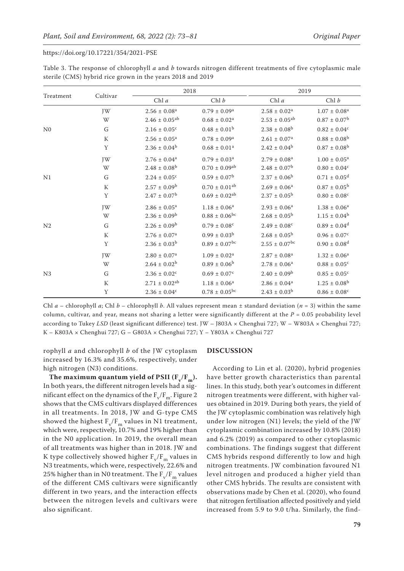|                | Cultivar  | 2018                         |                               | 2019                          |                              |  |
|----------------|-----------|------------------------------|-------------------------------|-------------------------------|------------------------------|--|
| Treatment      |           | Chl $a$                      | Chl b                         | Chl $a$                       | Chl b                        |  |
|                | JW        | $2.56 \pm 0.08^a$            | $0.79 \pm 0.09^{\text{a}}$    | $2.58\,\pm\,0.02^{\rm a}$     | $1.07\pm0.08^{\rm a}$        |  |
|                | W         | $2.46 \pm 0.05^{ab}$         | $0.68 \pm 0.02^a$             | $2.53 \pm 0.05^{ab}$          | $0.87 \pm 0.07^b$            |  |
| N <sub>0</sub> | G         | $2.16 \pm 0.05$ <sup>c</sup> | $0.48 \pm 0.01^b$             | $2.38 \pm 0.08^{\rm b}$       | $0.82\pm0.04^{\rm c}$        |  |
|                | K         | $2.56 \pm 0.05^a$            | $0.78 \pm 0.09^{\rm a}$       | $2.61\pm0.07^{\rm a}$         | $0.88\pm0.08^{\rm b}$        |  |
|                | Y         | $2.36 \pm 0.04^b$            | $0.68 \pm 0.01^a$             | $2.42 \pm 0.04^b$             | $0.87 \pm 0.08^{\rm b}$      |  |
|                | JW        | $2.76 \pm 0.04^a$            | $0.79 \pm 0.03^a$             | $2.79 \pm 0.08^a$             | $1.00 \pm 0.05^a$            |  |
|                | W         | $2.48 \pm 0.08^b$            | $0.70 \pm 0.09$ <sup>ab</sup> | $2.48 \pm 0.07^b$             | $0.80 \pm 0.04$ <sup>c</sup> |  |
| N1             | G         | $2.24 \pm 0.05^{\circ}$      | $0.59 \pm 0.07^{\rm b}$       | $2.37 \pm 0.06^{\rm b}$       | $0.71 \pm 0.05$ <sup>d</sup> |  |
|                | K         | $2.57 \pm 0.09^{\rm b}$      | $0.70 \pm 0.01$ <sup>ab</sup> | $2.69 \pm 0.06^a$             | $0.87 \pm 0.05^{\rm b}$      |  |
|                | Y         | $2.47 \pm 0.07^b$            | $0.69 \pm 0.02^{ab}$          | $2.37 \pm 0.05^{\rm b}$       | $0.80 \pm 0.08$ <sup>c</sup> |  |
|                | JW        | $2.86 \pm 0.05^{\text{a}}$   | $1.18\pm0.06^{\rm a}$         | $2.93 \pm 0.06^a$             | $1.38 \pm 0.06^a$            |  |
|                | W         | $2.36 \pm 0.09^b$            | $0.88 \pm 0.06^{bc}$          | $2.68 \pm 0.05^{\rm b}$       | $1.15 \pm 0.04^b$            |  |
| N <sub>2</sub> | G         | $2.26 \pm 0.09^b$            | $0.79\pm0.08^{\rm c}$         | $2.49 \pm 0.08$ <sup>c</sup>  | $0.89 \pm 0.04$ <sup>d</sup> |  |
|                | ${\bf K}$ | $2.76 \pm 0.07^a$            | $0.99 \pm 0.03^b$             | $2.68 \pm 0.05^{\rm b}$       | $0.96 \pm 0.07$ <sup>c</sup> |  |
|                | Y         | $2.36 \pm 0.03^b$            | $0.89 \pm 0.07$ <sup>bc</sup> | $2.55 \pm 0.07$ <sup>bc</sup> | $0.90 \pm 0.08$ <sup>d</sup> |  |
|                | JW        | $2.80 \pm 0.07$ <sup>a</sup> | $1.09 \pm 0.02^a$             | $2.87 \pm 0.08^a$             | $1.32 \pm 0.06^a$            |  |
|                | W         | $2.64 \pm 0.02^b$            | $0.89 \pm 0.06^b$             | $2.78 \pm 0.06^a$             | $0.88 \pm 0.05$ <sup>c</sup> |  |
| N <sub>3</sub> | G         | $2.36 \pm 0.02$ <sup>c</sup> | $0.69 \pm 0.07^c$             | $2.40 \pm 0.09^b$             | $0.85 \pm 0.05$ <sup>c</sup> |  |
|                | ${\bf K}$ | $2.71 \pm 0.02^{ab}$         | $1.18\pm0.06^{\rm a}$         | $2.86\pm0.04^{\rm a}$         | $1.25 \pm 0.08^{\rm b}$      |  |
|                | Υ         | $2.36 \pm 0.04$ <sup>c</sup> | $0.78 \pm 0.05^{\rm bc}$      | $2.43 \pm 0.03^b$             | $0.86 \pm 0.08$ <sup>c</sup> |  |

Table 3. The response of chlorophyll *a* and *b* towards nitrogen different treatments of five cytoplasmic male sterile (CMS) hybrid rice grown in the years 2018 and 2019

Chl *a* – chlorophyll *a*; Chl *b* – chlorophyll *b*. All values represent mean ± standard deviation (*n* = 3) within the same column, cultivar, and year, means not sharing a letter were significantly different at the *P* = 0.05 probability level according to Tukey *LSD* (least significant difference) test. JW - J803A × Chenghui 727; W - W803A × Chenghui 727; K – K803A × Chenghui 727; G – G803A × Chenghui 727; Y – Y803A × Chenghui 727

rophyll *a* and chlorophyll *b* of the JW cytoplasm increased by 16.3% and 35.6%, respectively, under high nitrogen (N3) conditions.

The maximum quantum yield of PSII  $(F_v/F_m)$ . In both years, the different nitrogen levels had a significant effect on the dynamics of the  $F_v/F_m$ . Figure 2 shows that the CMS cultivars displayed differences in all treatments. In 2018, JW and G-type CMS showed the highest  $F_v/F_m$  values in N1 treatment, which were, respectively, 10.7% and 19% higher than in the N0 application. In 2019, the overall mean of all treatments was higher than in 2018. JW and K type collectively showed higher  $F_v/F_m$  values in N3 treatments, which were, respectively, 22.6% and 25% higher than in N0 treatment. The  $\rm F_v/F_m$  values of the different CMS cultivars were significantly different in two years, and the interaction effects between the nitrogen levels and cultivars were also significant.

### **DISCUSSION**

According to Lin et al. (2020), hybrid progenies have better growth characteristics than parental lines. In this study, both year's outcomes in different nitrogen treatments were different, with higher values obtained in 2019. During both years, the yield of the JW cytoplasmic combination was relatively high under low nitrogen (N1) levels; the yield of the JW cytoplasmic combination increased by 10.8% (2018) and 6.2% (2019) as compared to other cytoplasmic combinations. The findings suggest that different CMS hybrids respond differently to low and high nitrogen treatments. JW combination favoured N1 level nitrogen and produced a higher yield than other CMS hybrids. The results are consistent with observations made by Chen et al. (2020), who found that nitrogen fertilisation affected positively and yield increased from 5.9 to 9.0 t/ha. Similarly, the find-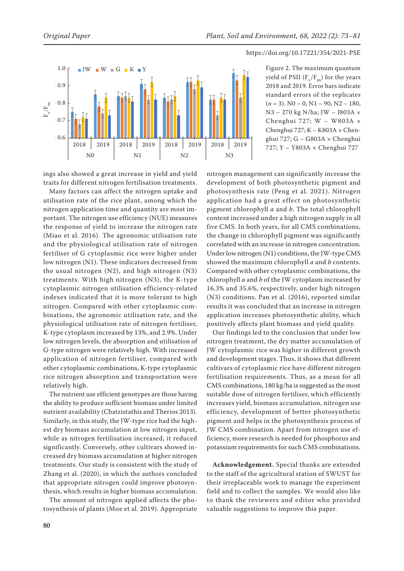

Figure 2. The maximum quantum yield of PSII  $(F_v/F_m)$  for the years 2018 and 2019. Error bars indicate standard errors of the replicates  $(n = 3)$ . N<sub>0</sub> – 0, N<sub>1</sub> – 90, N<sub>2</sub> – 180, N3 – 270 kg N/ha; JW – J803A × Chenghui 727; W – W803A × Chenghui 727; K – K803A × Chenghui 727; G – G803A × Chenghui

ings also showed a great increase in yield and yield traits for different nitrogen fertilisation treatments.

Many factors can affect the nitrogen uptake and utilisation rate of the rice plant, among which the nitrogen application time and quantity are most important. The nitrogen use efficiency (NUE) measures the response of yield to increase the nitrogen rate (Miao et al. 2016). The agronomic utilisation rate and the physiological utilisation rate of nitrogen fertiliser of G cytoplasmic rice were higher under low nitrogen (N1). These indicators decreased from the usual nitrogen (N2), and high nitrogen (N3) treatments. With high nitrogen (N3), the K-type cytoplasmic nitrogen utilisation efficiency-related indexes indicated that it is more tolerant to high nitrogen. Compared with other cytoplasmic combinations, the agronomic utilisation rate, and the physiological utilisation rate of nitrogen fertiliser, K-type cytoplasm increased by 13%, and 2.9%. Under low nitrogen levels, the absorption and utilisation of G-type nitrogen were relatively high. With increased application of nitrogen fertiliser, compared with other cytoplasmic combinations, K-type cytoplasmic rice nitrogen absorption and transportation were relatively high.

The nutrient use efficient genotypes are those having the ability to produce sufficient biomass under limited nutrient availability (Chatzistathis and Therios 2013). Similarly, in this study, the JW-type rice had the highest dry biomass accumulation at low nitrogen input, while as nitrogen fertilisation increased, it reduced significantly. Conversely, other cultivars showed increased dry biomass accumulation at higher nitrogen treatments. Our study is consistent with the study of Zhang et al. (2020), in which the authors concluded that appropriate nitrogen could improve photosynthesis, which results in higher biomass accumulation.

The amount of nitrogen applied affects the photosynthesis of plants (Moe et al. 2019). Appropriate

nitrogen management can significantly increase the development of both photosynthetic pigment and photosynthesis rate (Peng et al. 2021). Nitrogen application had a great effect on photosynthetic pigment chlorophyll *a* and *b*. The total chlorophyll content increased under a high nitrogen supply in all five CMS. In both years, for all CMS combinations, the change in chlorophyll pigment was significantly correlated with an increase in nitrogen concentration. Under low nitrogen (N1) conditions, the JW-type CMS showed the maximum chlorophyll *a* and *b* contents. Compared with other cytoplasmic combinations, the chlorophyll *a* and *b* of the JW cytoplasm increased by 16.3% and 35.6%, respectively, under high nitrogen (N3) conditions. Pan et al. (2016), reported similar results it was concluded that an increase in nitrogen application increases photosynthetic ability, which positively affects plant biomass and yield quality.

Our findings led to the conclusion that under low nitrogen treatment, the dry matter accumulation of JW cytoplasmic rice was higher in different growth and development stages. Thus, it shows that different cultivars of cytoplasmic rice have different nitrogen fertilisation requirements. Thus, as a mean for all CMS combinations, 180 kg/ha is suggested as the most suitable dose of nitrogen fertiliser, which efficiently increases yield, biomass accumulation, nitrogen use efficiency, development of better photosynthetic pigment and helps in the photosynthesis process of JW CMS combination. Apart from nitrogen use efficiency, more research is needed for phosphorus and potassium requirements for such CMS combinations.

**Acknowledgement.** Special thanks are extended to the staff of the agricultural station of SWUST for their irreplaceable work to manage the experiment field and to collect the samples. We would also like to thank the reviewers and editor who provided valuable suggestions to improve this paper.